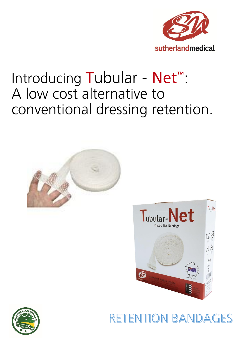

# Introducing Tubular - Net<sup>™</sup>: A low cost alternative to conventional dressing retention.





## **RETENTION BANDAGES**